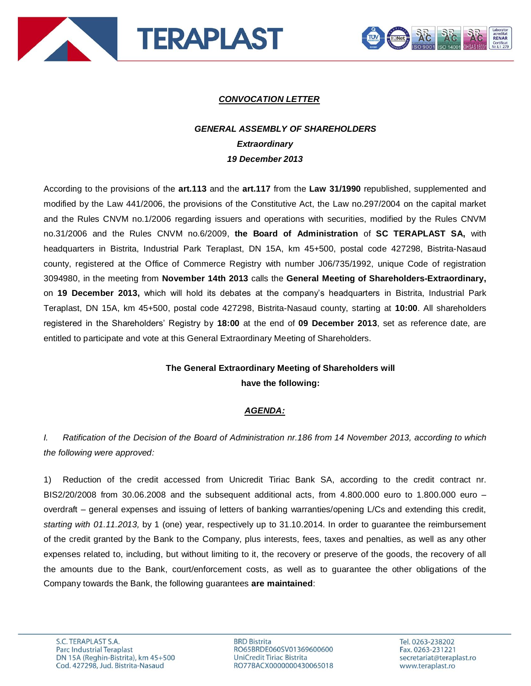



## *CONVOCATION LETTER*

## *GENERAL ASSEMBLY OF SHAREHOLDERS Extraordinary 19 December 2013*

According to the provisions of the **art.113** and the **art.117** from the **Law 31/1990** republished, supplemented and modified by the Law 441/2006, the provisions of the Constitutive Act, the Law no.297/2004 on the capital market and the Rules CNVM no.1/2006 regarding issuers and operations with securities, modified by the Rules CNVM no.31/2006 and the Rules CNVM no.6/2009, **the Board of Administration** of **SC TERAPLAST SA,** with headquarters in Bistrita, Industrial Park Teraplast, DN 15A, km 45+500, postal code 427298, Bistrita-Nasaud county, registered at the Office of Commerce Registry with number J06/735/1992, unique Code of registration 3094980, in the meeting from **November 14th 2013** calls the **General Meeting of Shareholders-Extraordinary,**  on **19 December 2013,** which will hold its debates at the company's headquarters in Bistrita, Industrial Park Teraplast, DN 15A, km 45+500, postal code 427298, Bistrita-Nasaud county, starting at **10:00**. All shareholders registered in the Shareholders' Registry by **18:00** at the end of **09 December 2013**, set as reference date, are entitled to participate and vote at this General Extraordinary Meeting of Shareholders.

## **The General Extraordinary Meeting of Shareholders will have the following:**

## *AGENDA:*

*I. Ratification of the Decision of the Board of Administration nr.186 from 14 November 2013, according to which the following were approved:*

1) Reduction of the credit accessed from Unicredit Tiriac Bank SA, according to the credit contract nr. BIS2/20/2008 from 30.06.2008 and the subsequent additional acts, from 4.800.000 euro to 1.800.000 euro – overdraft – general expenses and issuing of letters of banking warranties/opening L/Cs and extending this credit, *starting with 01.11.2013,* by 1 (one) year, respectively up to 31.10.2014. In order to guarantee the reimbursement of the credit granted by the Bank to the Company, plus interests, fees, taxes and penalties, as well as any other expenses related to, including, but without limiting to it, the recovery or preserve of the goods, the recovery of all the amounts due to the Bank, court/enforcement costs, as well as to guarantee the other obligations of the Company towards the Bank, the following guarantees **are maintained**:

**BRD Bistrita** RO65BRDE060SV01369600600 UniCredit Tiriac Bistrita RO77BACX0000000430065018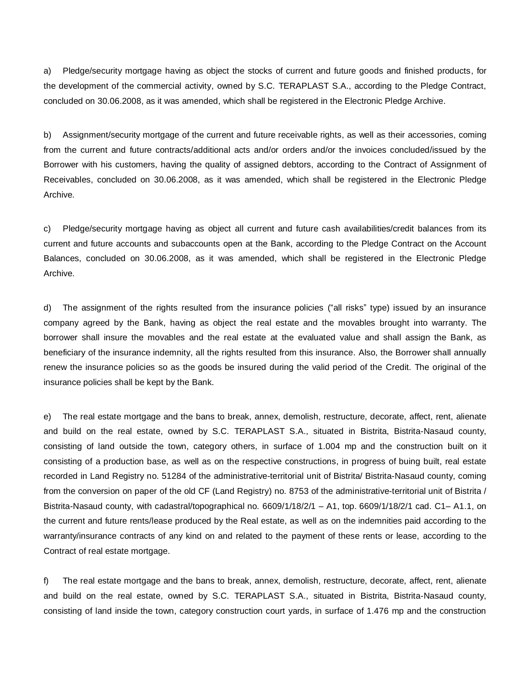a) Pledge/security mortgage having as object the stocks of current and future goods and finished products, for the development of the commercial activity, owned by S.C. TERAPLAST S.A., according to the Pledge Contract, concluded on 30.06.2008, as it was amended, which shall be registered in the Electronic Pledge Archive.

b) Assignment/security mortgage of the current and future receivable rights, as well as their accessories, coming from the current and future contracts/additional acts and/or orders and/or the invoices concluded/issued by the Borrower with his customers, having the quality of assigned debtors, according to the Contract of Assignment of Receivables, concluded on 30.06.2008, as it was amended, which shall be registered in the Electronic Pledge Archive.

c) Pledge/security mortgage having as object all current and future cash availabilities/credit balances from its current and future accounts and subaccounts open at the Bank, according to the Pledge Contract on the Account Balances, concluded on 30.06.2008, as it was amended, which shall be registered in the Electronic Pledge Archive.

d) The assignment of the rights resulted from the insurance policies ("all risks" type) issued by an insurance company agreed by the Bank, having as object the real estate and the movables brought into warranty. The borrower shall insure the movables and the real estate at the evaluated value and shall assign the Bank, as beneficiary of the insurance indemnity, all the rights resulted from this insurance. Also, the Borrower shall annually renew the insurance policies so as the goods be insured during the valid period of the Credit. The original of the insurance policies shall be kept by the Bank.

e) The real estate mortgage and the bans to break, annex, demolish, restructure, decorate, affect, rent, alienate and build on the real estate, owned by S.C. TERAPLAST S.A., situated in Bistrita, Bistrita-Nasaud county, consisting of land outside the town, category others, in surface of 1.004 mp and the construction built on it consisting of a production base, as well as on the respective constructions, in progress of buing built, real estate recorded in Land Registry no. 51284 of the administrative-territorial unit of Bistrita/ Bistrita-Nasaud county, coming from the conversion on paper of the old CF (Land Registry) no. 8753 of the administrative-territorial unit of Bistrita / Bistrita-Nasaud county, with cadastral/topographical no. 6609/1/18/2/1 – A1, top. 6609/1/18/2/1 cad. C1– A1.1, on the current and future rents/lease produced by the Real estate, as well as on the indemnities paid according to the warranty/insurance contracts of any kind on and related to the payment of these rents or lease, according to the Contract of real estate mortgage.

f) The real estate mortgage and the bans to break, annex, demolish, restructure, decorate, affect, rent, alienate and build on the real estate, owned by S.C. TERAPLAST S.A., situated in Bistrita, Bistrita-Nasaud county, consisting of land inside the town, category construction court yards, in surface of 1.476 mp and the construction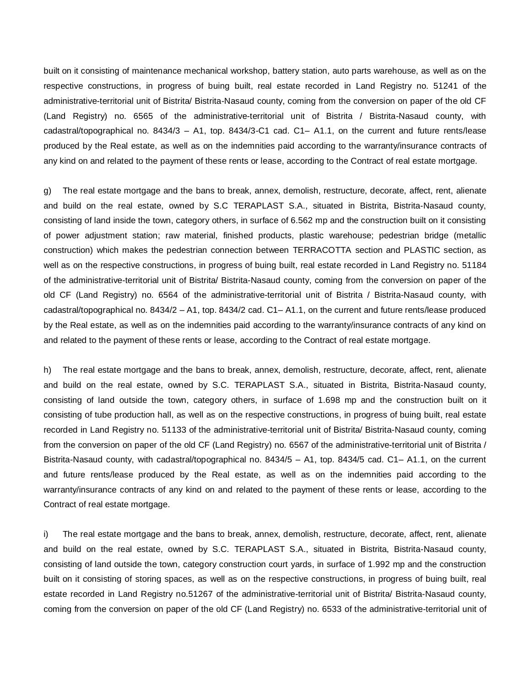built on it consisting of maintenance mechanical workshop, battery station, auto parts warehouse, as well as on the respective constructions, in progress of buing built, real estate recorded in Land Registry no. 51241 of the administrative-territorial unit of Bistrita/ Bistrita-Nasaud county, coming from the conversion on paper of the old CF (Land Registry) no. 6565 of the administrative-territorial unit of Bistrita / Bistrita-Nasaud county, with cadastral/topographical no. 8434/3 – A1, top. 8434/3-C1 cad. C1– A1.1, on the current and future rents/lease produced by the Real estate, as well as on the indemnities paid according to the warranty/insurance contracts of any kind on and related to the payment of these rents or lease, according to the Contract of real estate mortgage.

g) The real estate mortgage and the bans to break, annex, demolish, restructure, decorate, affect, rent, alienate and build on the real estate, owned by S.C TERAPLAST S.A., situated in Bistrita, Bistrita-Nasaud county, consisting of land inside the town, category others, in surface of 6.562 mp and the construction built on it consisting of power adjustment station; raw material, finished products, plastic warehouse; pedestrian bridge (metallic construction) which makes the pedestrian connection between TERRACOTTA section and PLASTIC section, as well as on the respective constructions, in progress of buing built, real estate recorded in Land Registry no. 51184 of the administrative-territorial unit of Bistrita/ Bistrita-Nasaud county, coming from the conversion on paper of the old CF (Land Registry) no. 6564 of the administrative-territorial unit of Bistrita / Bistrita-Nasaud county, with cadastral/topographical no. 8434/2 – A1, top. 8434/2 cad. C1– A1.1, on the current and future rents/lease produced by the Real estate, as well as on the indemnities paid according to the warranty/insurance contracts of any kind on and related to the payment of these rents or lease, according to the Contract of real estate mortgage.

h) The real estate mortgage and the bans to break, annex, demolish, restructure, decorate, affect, rent, alienate and build on the real estate, owned by S.C. TERAPLAST S.A., situated in Bistrita, Bistrita-Nasaud county, consisting of land outside the town, category others, in surface of 1.698 mp and the construction built on it consisting of tube production hall, as well as on the respective constructions, in progress of buing built, real estate recorded in Land Registry no. 51133 of the administrative-territorial unit of Bistrita/ Bistrita-Nasaud county, coming from the conversion on paper of the old CF (Land Registry) no. 6567 of the administrative-territorial unit of Bistrita / Bistrita-Nasaud county, with cadastral/topographical no. 8434/5 – A1, top. 8434/5 cad. C1– A1.1, on the current and future rents/lease produced by the Real estate, as well as on the indemnities paid according to the warranty/insurance contracts of any kind on and related to the payment of these rents or lease, according to the Contract of real estate mortgage.

i) The real estate mortgage and the bans to break, annex, demolish, restructure, decorate, affect, rent, alienate and build on the real estate, owned by S.C. TERAPLAST S.A., situated in Bistrita, Bistrita-Nasaud county, consisting of land outside the town, category construction court yards, in surface of 1.992 mp and the construction built on it consisting of storing spaces, as well as on the respective constructions, in progress of buing built, real estate recorded in Land Registry no.51267 of the administrative-territorial unit of Bistrita/ Bistrita-Nasaud county, coming from the conversion on paper of the old CF (Land Registry) no. 6533 of the administrative-territorial unit of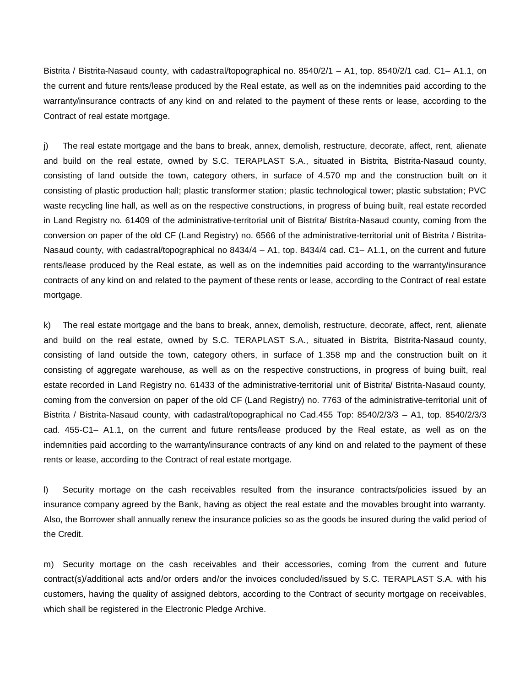Bistrita / Bistrita-Nasaud county, with cadastral/topographical no. 8540/2/1 – A1, top. 8540/2/1 cad. C1– A1.1, on the current and future rents/lease produced by the Real estate, as well as on the indemnities paid according to the warranty/insurance contracts of any kind on and related to the payment of these rents or lease, according to the Contract of real estate mortgage.

j) The real estate mortgage and the bans to break, annex, demolish, restructure, decorate, affect, rent, alienate and build on the real estate, owned by S.C. TERAPLAST S.A., situated in Bistrita, Bistrita-Nasaud county, consisting of land outside the town, category others, in surface of 4.570 mp and the construction built on it consisting of plastic production hall; plastic transformer station; plastic technological tower; plastic substation; PVC waste recycling line hall, as well as on the respective constructions, in progress of buing built, real estate recorded in Land Registry no. 61409 of the administrative-territorial unit of Bistrita/ Bistrita-Nasaud county, coming from the conversion on paper of the old CF (Land Registry) no. 6566 of the administrative-territorial unit of Bistrita / Bistrita-Nasaud county, with cadastral/topographical no 8434/4 – A1, top. 8434/4 cad. C1– A1.1, on the current and future rents/lease produced by the Real estate, as well as on the indemnities paid according to the warranty/insurance contracts of any kind on and related to the payment of these rents or lease, according to the Contract of real estate mortgage.

k) The real estate mortgage and the bans to break, annex, demolish, restructure, decorate, affect, rent, alienate and build on the real estate, owned by S.C. TERAPLAST S.A., situated in Bistrita, Bistrita-Nasaud county, consisting of land outside the town, category others, in surface of 1.358 mp and the construction built on it consisting of aggregate warehouse, as well as on the respective constructions, in progress of buing built, real estate recorded in Land Registry no. 61433 of the administrative-territorial unit of Bistrita/ Bistrita-Nasaud county, coming from the conversion on paper of the old CF (Land Registry) no. 7763 of the administrative-territorial unit of Bistrita / Bistrita-Nasaud county, with cadastral/topographical no Cad.455 Top: 8540/2/3/3 – A1, top. 8540/2/3/3 cad. 455-C1– A1.1, on the current and future rents/lease produced by the Real estate, as well as on the indemnities paid according to the warranty/insurance contracts of any kind on and related to the payment of these rents or lease, according to the Contract of real estate mortgage.

l) Security mortage on the cash receivables resulted from the insurance contracts/policies issued by an insurance company agreed by the Bank, having as object the real estate and the movables brought into warranty. Also, the Borrower shall annually renew the insurance policies so as the goods be insured during the valid period of the Credit.

m) Security mortage on the cash receivables and their accessories, coming from the current and future contract(s)/additional acts and/or orders and/or the invoices concluded/issued by S.C. TERAPLAST S.A. with his customers, having the quality of assigned debtors, according to the Contract of security mortgage on receivables, which shall be registered in the Electronic Pledge Archive.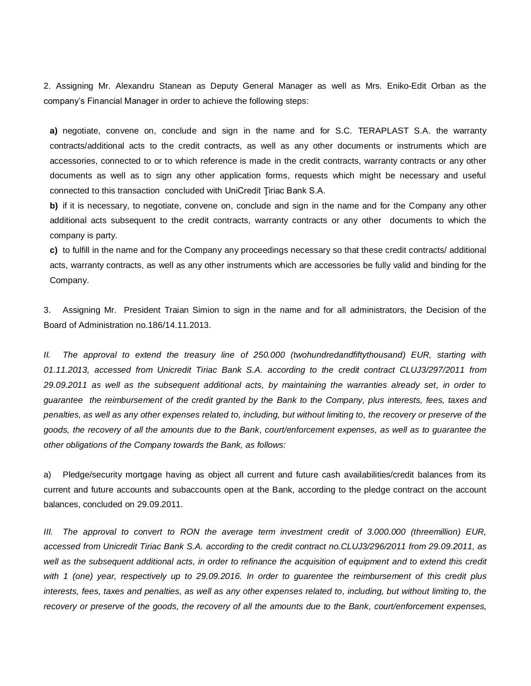2. Assigning Mr. Alexandru Stanean as Deputy General Manager as well as Mrs. Eniko-Edit Orban as the company's Financial Manager in order to achieve the following steps:

**a)** negotiate, convene on, conclude and sign in the name and for S.C. TERAPLAST S.A. the warranty contracts/additional acts to the credit contracts, as well as any other documents or instruments which are accessories, connected to or to which reference is made in the credit contracts, warranty contracts or any other documents as well as to sign any other application forms, requests which might be necessary and useful connected to this transaction concluded with UniCredit Tiriac Bank S.A.

**b)** if it is necessary, to negotiate, convene on, conclude and sign in the name and for the Company any other additional acts subsequent to the credit contracts, warranty contracts or any other documents to which the company is party.

**c)** to fulfill in the name and for the Company any proceedings necessary so that these credit contracts/ additional acts, warranty contracts, as well as any other instruments which are accessories be fully valid and binding for the Company.

3. Assigning Mr. President Traian Simion to sign in the name and for all administrators, the Decision of the Board of Administration no.186/14.11.2013.

*II. The approval to extend the treasury line of 250.000 (twohundredandfiftythousand) EUR, starting with 01.11.2013, accessed from Unicredit Tiriac Bank S.A. according to the credit contract CLUJ3/297/2011 from 29.09.2011 as well as the subsequent additional acts, by maintaining the warranties already set, in order to guarantee the reimbursement of the credit granted by the Bank to the Company, plus interests, fees, taxes and penalties, as well as any other expenses related to, including, but without limiting to, the recovery or preserve of the goods, the recovery of all the amounts due to the Bank, court/enforcement expenses, as well as to guarantee the other obligations of the Company towards the Bank, as follows:*

a) Pledge/security mortgage having as object all current and future cash availabilities/credit balances from its current and future accounts and subaccounts open at the Bank, according to the pledge contract on the account balances, concluded on 29.09.2011.

*III. The approval to convert to RON the average term investment credit of 3.000.000 (threemillion) EUR, accessed from Unicredit Tiriac Bank S.A. according to the credit contract no.CLUJ3/296/2011 from 29.09.2011, as well as the subsequent additional acts, in order to refinance the acquisition of equipment and to extend this credit with 1 (one) year, respectively up to 29.09.2016. In order to guarentee the reimbursement of this credit plus interests, fees, taxes and penalties, as well as any other expenses related to, including, but without limiting to, the recovery or preserve of the goods, the recovery of all the amounts due to the Bank, court/enforcement expenses,*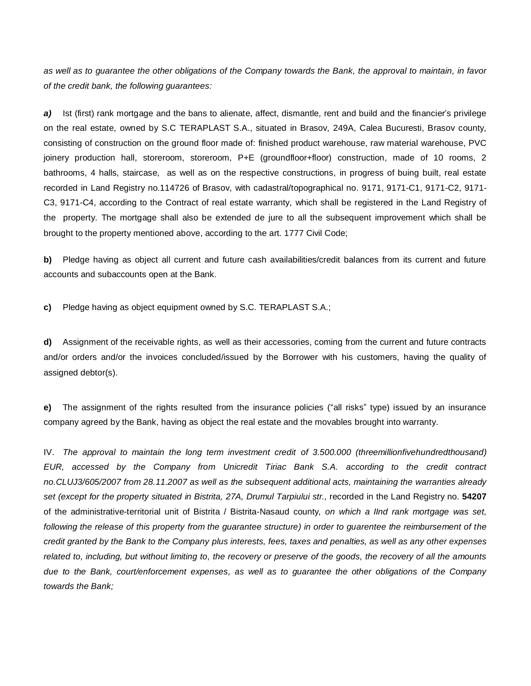*as well as to guarantee the other obligations of the Company towards the Bank, the approval to maintain, in favor of the credit bank, the following guarantees:*

*a)* Ist (first) rank mortgage and the bans to alienate, affect, dismantle, rent and build and the financier's privilege on the real estate, owned by S.C TERAPLAST S.A., situated in Brasov, 249A, Calea Bucuresti, Brasov county, consisting of construction on the ground floor made of: finished product warehouse, raw material warehouse, PVC joinery production hall, storeroom, storeroom, P+E (groundfloor+floor) construction, made of 10 rooms, 2 bathrooms, 4 halls, staircase, as well as on the respective constructions, in progress of buing built, real estate recorded in Land Registry no.114726 of Brasov, with cadastral/topographical no. 9171, 9171-C1, 9171-C2, 9171- C3, 9171-C4, according to the Contract of real estate warranty, which shall be registered in the Land Registry of the property. The mortgage shall also be extended de jure to all the subsequent improvement which shall be brought to the property mentioned above, according to the art. 1777 Civil Code;

**b)** Pledge having as object all current and future cash availabilities/credit balances from its current and future accounts and subaccounts open at the Bank.

**c)** Pledge having as object equipment owned by S.C. TERAPLAST S.A.;

**d)** Assignment of the receivable rights, as well as their accessories, coming from the current and future contracts and/or orders and/or the invoices concluded/issued by the Borrower with his customers, having the quality of assigned debtor(s).

**e)** The assignment of the rights resulted from the insurance policies ("all risks" type) issued by an insurance company agreed by the Bank, having as object the real estate and the movables brought into warranty.

IV. *The approval to maintain the long term investment credit of 3.500.000 (threemillionfivehundredthousand) EUR, accessed by the Company from Unicredit Tiriac Bank S.A. according to the credit contract no.CLUJ3/605/2007 from 28.11.2007 as well as the subsequent additional acts, maintaining the warranties already set (except for the property situated in Bistrita, 27A, Drumul Tarpiului str.,* recorded in the Land Registry no. **54207**  of the administrative-territorial unit of Bistrita / Bistrita-Nasaud county*, on which a IInd rank mortgage was set, following the release of this property from the guarantee structure) in order to guarentee the reimbursement of the credit granted by the Bank to the Company plus interests, fees, taxes and penalties, as well as any other expenses related to, including, but without limiting to, the recovery or preserve of the goods, the recovery of all the amounts due to the Bank, court/enforcement expenses, as well as to guarantee the other obligations of the Company towards the Bank;*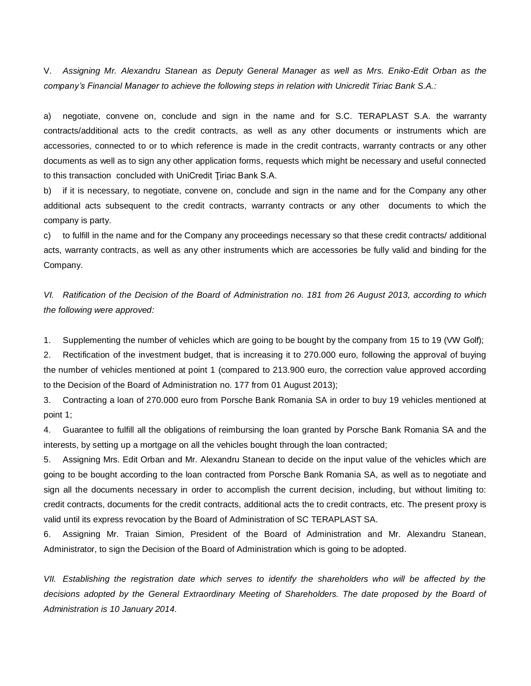V. *Assigning Mr. Alexandru Stanean as Deputy General Manager as well as Mrs. Eniko-Edit Orban as the company's Financial Manager to achieve the following steps in relation with Unicredit Tiriac Bank S.A.:*

a) negotiate, convene on, conclude and sign in the name and for S.C. TERAPLAST S.A. the warranty contracts/additional acts to the credit contracts, as well as any other documents or instruments which are accessories, connected to or to which reference is made in the credit contracts, warranty contracts or any other documents as well as to sign any other application forms, requests which might be necessary and useful connected to this transaction concluded with UniCredit Ţiriac Bank S.A.

b) if it is necessary, to negotiate, convene on, conclude and sign in the name and for the Company any other additional acts subsequent to the credit contracts, warranty contracts or any other documents to which the company is party.

c) to fulfill in the name and for the Company any proceedings necessary so that these credit contracts/ additional acts, warranty contracts, as well as any other instruments which are accessories be fully valid and binding for the Company.

*VI. Ratification of the Decision of the Board of Administration no. 181 from 26 August 2013, according to which the following were approved:*

1. Supplementing the number of vehicles which are going to be bought by the company from 15 to 19 (VW Golf);

2. Rectification of the investment budget, that is increasing it to 270.000 euro, following the approval of buying the number of vehicles mentioned at point 1 (compared to 213.900 euro, the correction value approved according to the Decision of the Board of Administration no. 177 from 01 August 2013);

3. Contracting a loan of 270.000 euro from Porsche Bank Romania SA in order to buy 19 vehicles mentioned at point 1;

4. Guarantee to fulfill all the obligations of reimbursing the loan granted by Porsche Bank Romania SA and the interests, by setting up a mortgage on all the vehicles bought through the loan contracted;

5. Assigning Mrs. Edit Orban and Mr. Alexandru Stanean to decide on the input value of the vehicles which are going to be bought according to the loan contracted from Porsche Bank Romania SA, as well as to negotiate and sign all the documents necessary in order to accomplish the current decision, including, but without limiting to: credit contracts, documents for the credit contracts, additional acts the to credit contracts, etc. The present proxy is valid until its express revocation by the Board of Administration of SC TERAPLAST SA.

6. Assigning Mr. Traian Simion, President of the Board of Administration and Mr. Alexandru Stanean, Administrator, to sign the Decision of the Board of Administration which is going to be adopted.

*VII. Establishing the registration date which serves to identify the shareholders who will be affected by the*  decisions adopted by the General Extraordinary Meeting of Shareholders. The date proposed by the Board of *Administration is 10 January 2014.*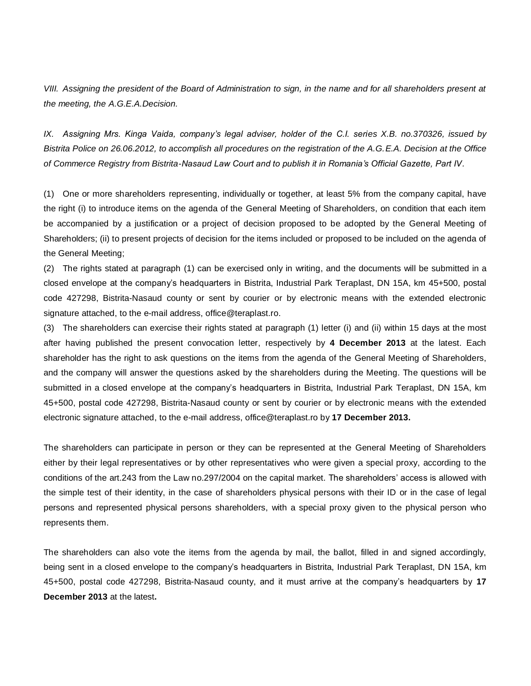*VIII. Assigning the president of the Board of Administration to sign, in the name and for all shareholders present at the meeting, the A.G.E.A.Decision.*

*IX. Assigning Mrs. Kinga Vaida, company's legal adviser, holder of the C.I. series X.B. no.370326, issued by Bistrita Police on 26.06.2012, to accomplish all procedures on the registration of the A.G.E.A. Decision at the Office of Commerce Registry from Bistrita-Nasaud Law Court and to publish it in Romania's Official Gazette, Part IV.*

(1) One or more shareholders representing, individually or together, at least 5% from the company capital, have the right (i) to introduce items on the agenda of the General Meeting of Shareholders, on condition that each item be accompanied by a justification or a project of decision proposed to be adopted by the General Meeting of Shareholders; (ii) to present projects of decision for the items included or proposed to be included on the agenda of the General Meeting;

(2) The rights stated at paragraph (1) can be exercised only in writing, and the documents will be submitted in a closed envelope at the company's headquarters in Bistrita, Industrial Park Teraplast, DN 15A, km 45+500, postal code 427298, Bistrita-Nasaud county or sent by courier or by electronic means with the extended electronic signature attached, to the e-mail address, [office@teraplast.ro.](mailto:office@teraplast.ro)

(3) The shareholders can exercise their rights stated at paragraph (1) letter (i) and (ii) within 15 days at the most after having published the present convocation letter, respectively by **4 December 2013** at the latest. Each shareholder has the right to ask questions on the items from the agenda of the General Meeting of Shareholders, and the company will answer the questions asked by the shareholders during the Meeting. The questions will be submitted in a closed envelope at the company's headquarters in Bistrita, Industrial Park Teraplast, DN 15A, km 45+500, postal code 427298, Bistrita-Nasaud county or sent by courier or by electronic means with the extended electronic signature attached, to the e-mail address, [office@teraplast.ro](mailto:office@teraplast.ro) by **17 December 2013.**

The shareholders can participate in person or they can be represented at the General Meeting of Shareholders either by their legal representatives or by other representatives who were given a special proxy, according to the conditions of the art.243 from the Law no.297/2004 on the capital market. The shareholders' access is allowed with the simple test of their identity, in the case of shareholders physical persons with their ID or in the case of legal persons and represented physical persons shareholders, with a special proxy given to the physical person who represents them.

The shareholders can also vote the items from the agenda by mail, the ballot, filled in and signed accordingly, being sent in a closed envelope to the company's headquarters in Bistrita, Industrial Park Teraplast, DN 15A, km 45+500, postal code 427298, Bistrita-Nasaud county, and it must arrive at the company's headquarters by **17 December 2013** at the latest**.**